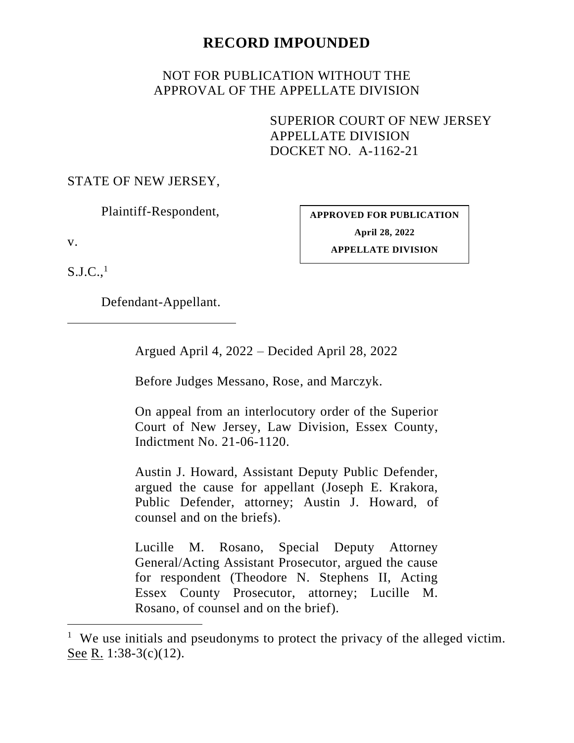# **RECORD IMPOUNDED**

# NOT FOR PUBLICATION WITHOUT THE APPROVAL OF THE APPELLATE DIVISION

SUPERIOR COURT OF NEW JERSEY APPELLATE DIVISION DOCKET NO. A-1162-21

# STATE OF NEW JERSEY,

Plaintiff-Respondent,

v.

**APPROVED FOR PUBLICATION April 28, 2022 APPELLATE DIVISION**

 $S.J.C.,<sup>1</sup>$ 

Defendant-Appellant.

Argued April 4, 2022 – Decided April 28, 2022

Before Judges Messano, Rose, and Marczyk.

On appeal from an interlocutory order of the Superior Court of New Jersey, Law Division, Essex County, Indictment No. 21-06-1120.

Austin J. Howard, Assistant Deputy Public Defender, argued the cause for appellant (Joseph E. Krakora, Public Defender, attorney; Austin J. Howard, of counsel and on the briefs).

Lucille M. Rosano, Special Deputy Attorney General/Acting Assistant Prosecutor, argued the cause for respondent (Theodore N. Stephens II, Acting Essex County Prosecutor, attorney; Lucille M. Rosano, of counsel and on the brief).

<sup>&</sup>lt;sup>1</sup> We use initials and pseudonyms to protect the privacy of the alleged victim. See R. 1:38-3(c)(12).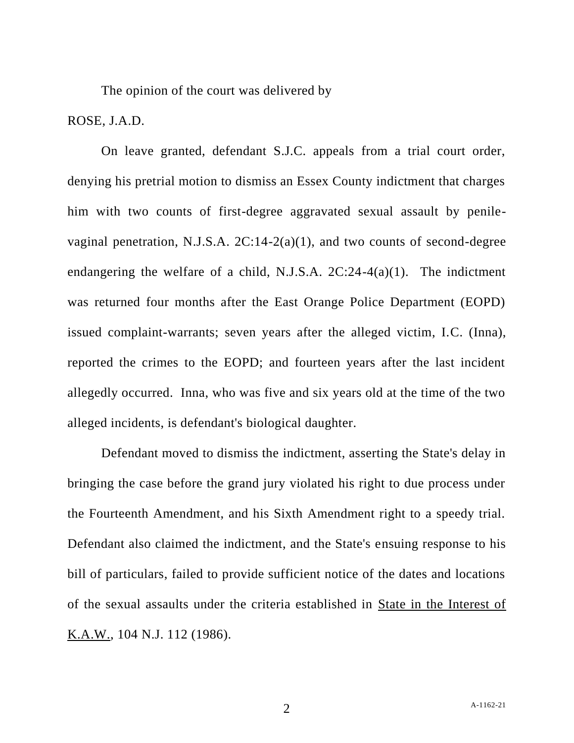The opinion of the court was delivered by

# ROSE, J.A.D.

On leave granted, defendant S.J.C. appeals from a trial court order, denying his pretrial motion to dismiss an Essex County indictment that charges him with two counts of first-degree aggravated sexual assault by penilevaginal penetration, N.J.S.A. 2C:14-2(a)(1), and two counts of second-degree endangering the welfare of a child, N.J.S.A. 2C:24-4(a)(1). The indictment was returned four months after the East Orange Police Department (EOPD) issued complaint-warrants; seven years after the alleged victim, I.C. (Inna), reported the crimes to the EOPD; and fourteen years after the last incident allegedly occurred. Inna, who was five and six years old at the time of the two alleged incidents, is defendant's biological daughter.

Defendant moved to dismiss the indictment, asserting the State's delay in bringing the case before the grand jury violated his right to due process under the Fourteenth Amendment, and his Sixth Amendment right to a speedy trial. Defendant also claimed the indictment, and the State's ensuing response to his bill of particulars, failed to provide sufficient notice of the dates and locations of the sexual assaults under the criteria established in State in the Interest of K.A.W., 104 N.J. 112 (1986).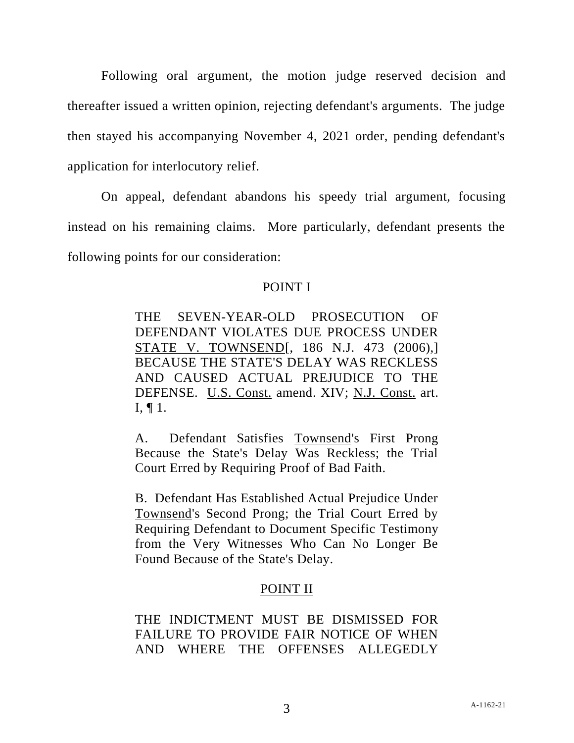Following oral argument, the motion judge reserved decision and thereafter issued a written opinion, rejecting defendant's arguments. The judge then stayed his accompanying November 4, 2021 order, pending defendant's application for interlocutory relief.

On appeal, defendant abandons his speedy trial argument, focusing instead on his remaining claims. More particularly, defendant presents the following points for our consideration:

#### POINT I

THE SEVEN-YEAR-OLD PROSECUTION OF DEFENDANT VIOLATES DUE PROCESS UNDER STATE V. TOWNSEND[, 186 N.J. 473 (2006),] BECAUSE THE STATE'S DELAY WAS RECKLESS AND CAUSED ACTUAL PREJUDICE TO THE DEFENSE. U.S. Const. amend. XIV; N.J. Const. art. I, ¶ 1.

A. Defendant Satisfies Townsend's First Prong Because the State's Delay Was Reckless; the Trial Court Erred by Requiring Proof of Bad Faith.

B. Defendant Has Established Actual Prejudice Under Townsend's Second Prong; the Trial Court Erred by Requiring Defendant to Document Specific Testimony from the Very Witnesses Who Can No Longer Be Found Because of the State's Delay.

# POINT II

THE INDICTMENT MUST BE DISMISSED FOR FAILURE TO PROVIDE FAIR NOTICE OF WHEN AND WHERE THE OFFENSES ALLEGEDLY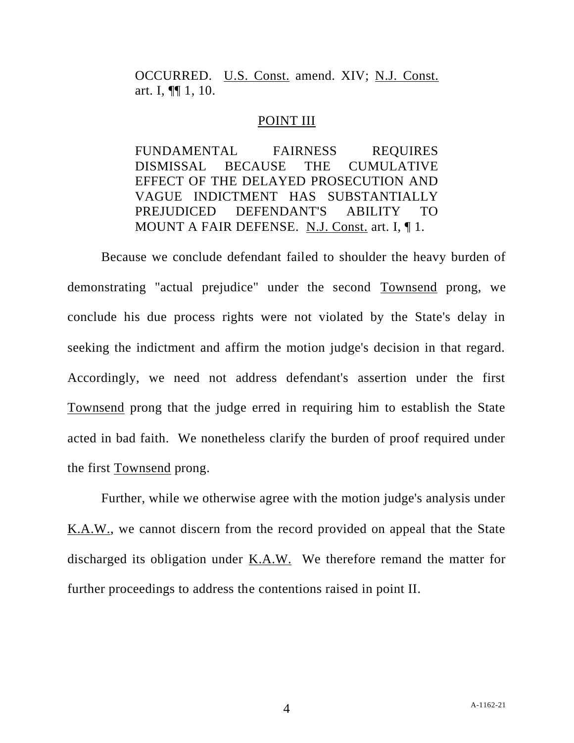OCCURRED. U.S. Const. amend. XIV; N.J. Const. art. I, ¶¶ 1, 10.

#### POINT III

FUNDAMENTAL FAIRNESS REQUIRES DISMISSAL BECAUSE THE CUMULATIVE EFFECT OF THE DELAYED PROSECUTION AND VAGUE INDICTMENT HAS SUBSTANTIALLY PREJUDICED DEFENDANT'S ABILITY TO MOUNT A FAIR DEFENSE. N.J. Const. art. I, ¶ 1.

Because we conclude defendant failed to shoulder the heavy burden of demonstrating "actual prejudice" under the second Townsend prong, we conclude his due process rights were not violated by the State's delay in seeking the indictment and affirm the motion judge's decision in that regard. Accordingly, we need not address defendant's assertion under the first Townsend prong that the judge erred in requiring him to establish the State acted in bad faith. We nonetheless clarify the burden of proof required under the first Townsend prong.

Further, while we otherwise agree with the motion judge's analysis under K.A.W., we cannot discern from the record provided on appeal that the State discharged its obligation under K.A.W. We therefore remand the matter for further proceedings to address the contentions raised in point II.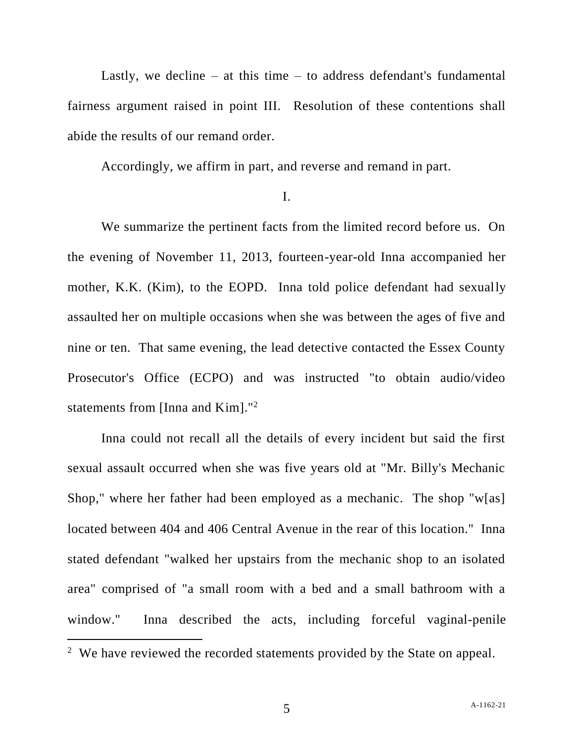Lastly, we decline – at this time – to address defendant's fundamental fairness argument raised in point III. Resolution of these contentions shall abide the results of our remand order.

Accordingly, we affirm in part, and reverse and remand in part.

#### I.

We summarize the pertinent facts from the limited record before us. On the evening of November 11, 2013, fourteen-year-old Inna accompanied her mother, K.K. (Kim), to the EOPD. Inna told police defendant had sexually assaulted her on multiple occasions when she was between the ages of five and nine or ten. That same evening, the lead detective contacted the Essex County Prosecutor's Office (ECPO) and was instructed "to obtain audio/video statements from [Inna and Kim]."<sup>2</sup>

Inna could not recall all the details of every incident but said the first sexual assault occurred when she was five years old at "Mr. Billy's Mechanic Shop," where her father had been employed as a mechanic. The shop "w[as] located between 404 and 406 Central Avenue in the rear of this location." Inna stated defendant "walked her upstairs from the mechanic shop to an isolated area" comprised of "a small room with a bed and a small bathroom with a window." Inna described the acts, including forceful vaginal-penile

<sup>&</sup>lt;sup>2</sup> We have reviewed the recorded statements provided by the State on appeal.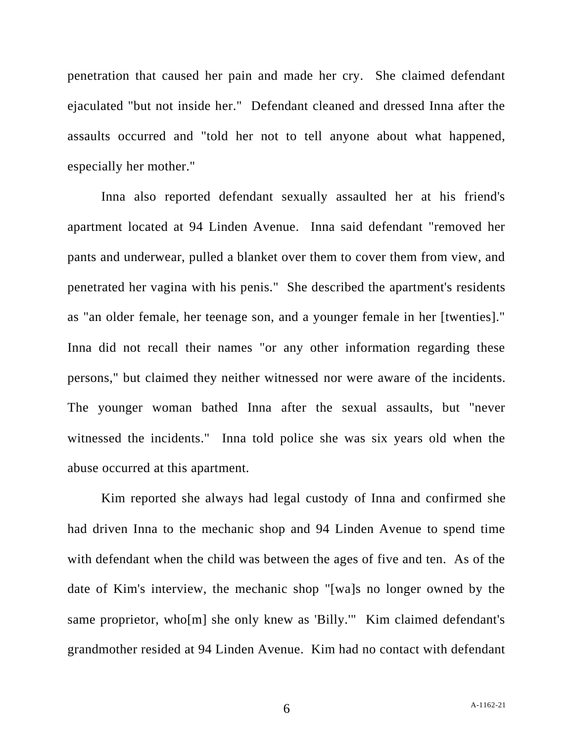penetration that caused her pain and made her cry. She claimed defendant ejaculated "but not inside her." Defendant cleaned and dressed Inna after the assaults occurred and "told her not to tell anyone about what happened, especially her mother."

Inna also reported defendant sexually assaulted her at his friend's apartment located at 94 Linden Avenue. Inna said defendant "removed her pants and underwear, pulled a blanket over them to cover them from view, and penetrated her vagina with his penis." She described the apartment's residents as "an older female, her teenage son, and a younger female in her [twenties]." Inna did not recall their names "or any other information regarding these persons," but claimed they neither witnessed nor were aware of the incidents. The younger woman bathed Inna after the sexual assaults, but "never witnessed the incidents." Inna told police she was six years old when the abuse occurred at this apartment.

Kim reported she always had legal custody of Inna and confirmed she had driven Inna to the mechanic shop and 94 Linden Avenue to spend time with defendant when the child was between the ages of five and ten. As of the date of Kim's interview, the mechanic shop "[wa]s no longer owned by the same proprietor, who[m] she only knew as 'Billy.'" Kim claimed defendant's grandmother resided at 94 Linden Avenue. Kim had no contact with defendant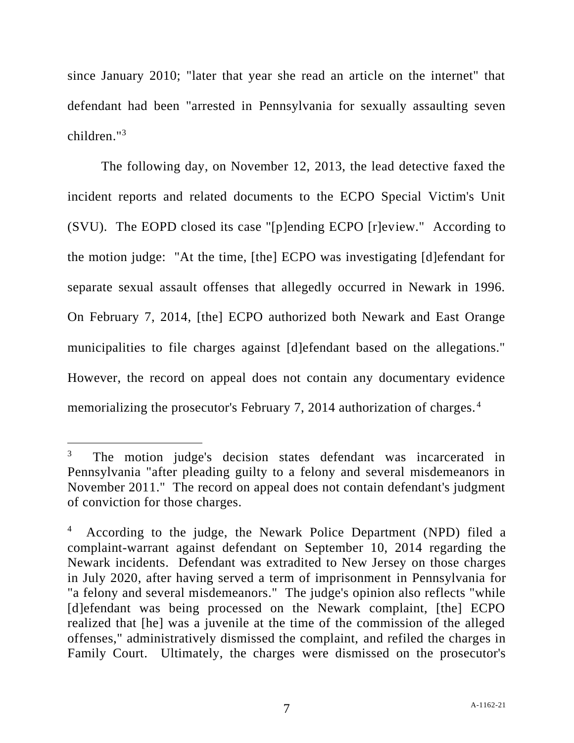since January 2010; "later that year she read an article on the internet" that defendant had been "arrested in Pennsylvania for sexually assaulting seven children."<sup>3</sup>

The following day, on November 12, 2013, the lead detective faxed the incident reports and related documents to the ECPO Special Victim's Unit (SVU). The EOPD closed its case "[p]ending ECPO [r]eview." According to the motion judge: "At the time, [the] ECPO was investigating [d]efendant for separate sexual assault offenses that allegedly occurred in Newark in 1996. On February 7, 2014, [the] ECPO authorized both Newark and East Orange municipalities to file charges against [d]efendant based on the allegations." However, the record on appeal does not contain any documentary evidence memorializing the prosecutor's February 7, 2014 authorization of charges.<sup>4</sup>

<sup>3</sup> The motion judge's decision states defendant was incarcerated in Pennsylvania "after pleading guilty to a felony and several misdemeanors in November 2011." The record on appeal does not contain defendant's judgment of conviction for those charges.

<sup>4</sup> According to the judge, the Newark Police Department (NPD) filed a complaint-warrant against defendant on September 10, 2014 regarding the Newark incidents. Defendant was extradited to New Jersey on those charges in July 2020, after having served a term of imprisonment in Pennsylvania for "a felony and several misdemeanors." The judge's opinion also reflects "while [d]efendant was being processed on the Newark complaint, [the] ECPO realized that [he] was a juvenile at the time of the commission of the alleged offenses," administratively dismissed the complaint, and refiled the charges in Family Court. Ultimately, the charges were dismissed on the prosecutor's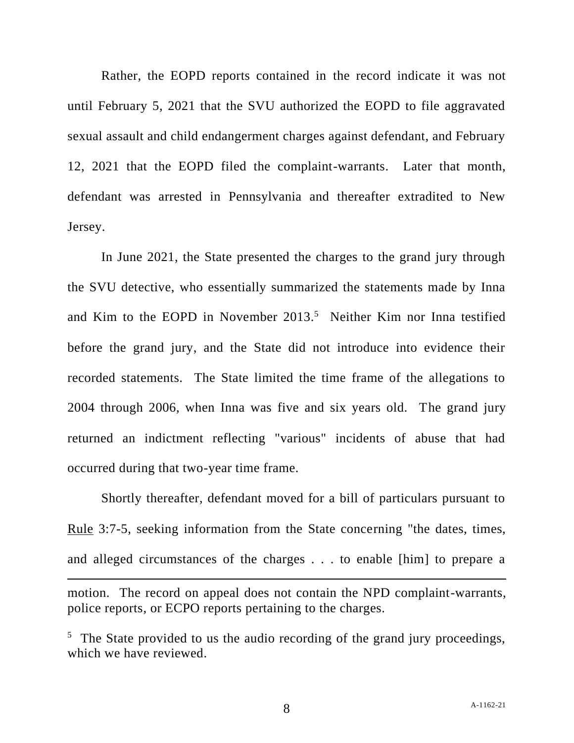Rather, the EOPD reports contained in the record indicate it was not until February 5, 2021 that the SVU authorized the EOPD to file aggravated sexual assault and child endangerment charges against defendant, and February 12, 2021 that the EOPD filed the complaint-warrants. Later that month, defendant was arrested in Pennsylvania and thereafter extradited to New Jersey.

In June 2021, the State presented the charges to the grand jury through the SVU detective, who essentially summarized the statements made by Inna and Kim to the EOPD in November  $2013<sup>5</sup>$  Neither Kim nor Inna testified before the grand jury, and the State did not introduce into evidence their recorded statements. The State limited the time frame of the allegations to 2004 through 2006, when Inna was five and six years old. The grand jury returned an indictment reflecting "various" incidents of abuse that had occurred during that two-year time frame.

Shortly thereafter, defendant moved for a bill of particulars pursuant to Rule 3:7-5, seeking information from the State concerning "the dates, times, and alleged circumstances of the charges . . . to enable [him] to prepare a motion. The record on appeal does not contain the NPD complaint-warrants,

<sup>5</sup> The State provided to us the audio recording of the grand jury proceedings, which we have reviewed.

police reports, or ECPO reports pertaining to the charges.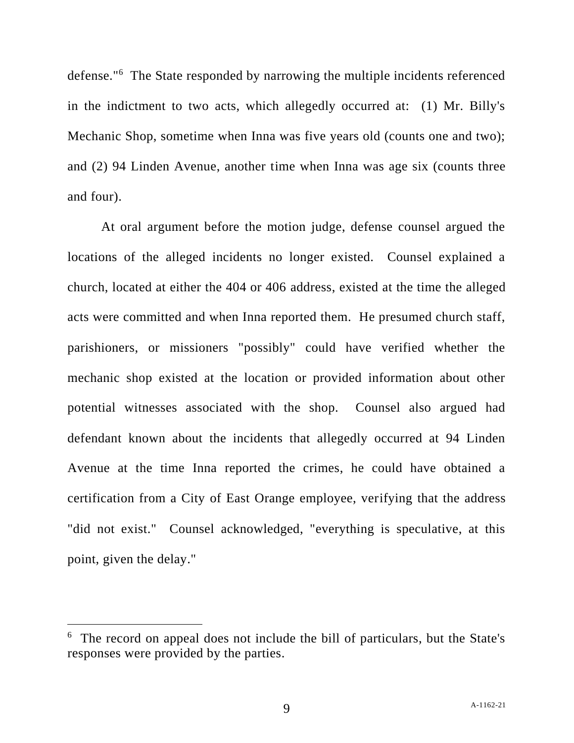defense."<sup>6</sup> The State responded by narrowing the multiple incidents referenced in the indictment to two acts, which allegedly occurred at: (1) Mr. Billy's Mechanic Shop, sometime when Inna was five years old (counts one and two); and (2) 94 Linden Avenue, another time when Inna was age six (counts three and four).

At oral argument before the motion judge, defense counsel argued the locations of the alleged incidents no longer existed. Counsel explained a church, located at either the 404 or 406 address, existed at the time the alleged acts were committed and when Inna reported them. He presumed church staff, parishioners, or missioners "possibly" could have verified whether the mechanic shop existed at the location or provided information about other potential witnesses associated with the shop. Counsel also argued had defendant known about the incidents that allegedly occurred at 94 Linden Avenue at the time Inna reported the crimes, he could have obtained a certification from a City of East Orange employee, verifying that the address "did not exist." Counsel acknowledged, "everything is speculative, at this point, given the delay."

<sup>&</sup>lt;sup>6</sup> The record on appeal does not include the bill of particulars, but the State's responses were provided by the parties.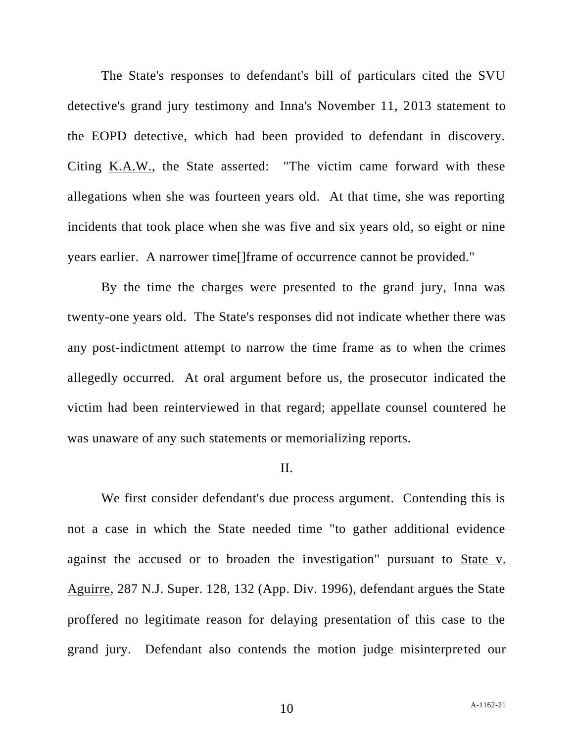The State's responses to defendant's bill of particulars cited the SVU detective's grand jury testimony and Inna's November 11, 2013 statement to the EOPD detective, which had been provided to defendant in discovery. Citing K.A.W., the State asserted: "The victim came forward with these allegations when she was fourteen years old. At that time, she was reporting incidents that took place when she was five and six years old, so eight or nine years earlier. A narrower time[]frame of occurrence cannot be provided."

By the time the charges were presented to the grand jury, Inna was twenty-one years old. The State's responses did not indicate whether there was any post-indictment attempt to narrow the time frame as to when the crimes allegedly occurred. At oral argument before us, the prosecutor indicated the victim had been reinterviewed in that regard; appellate counsel countered he was unaware of any such statements or memorializing reports.

#### II.

We first consider defendant's due process argument. Contending this is not a case in which the State needed time "to gather additional evidence against the accused or to broaden the investigation" pursuant to State v. Aguirre, 287 N.J. Super. 128, 132 (App. Div. 1996), defendant argues the State proffered no legitimate reason for delaying presentation of this case to the grand jury. Defendant also contends the motion judge misinterpreted our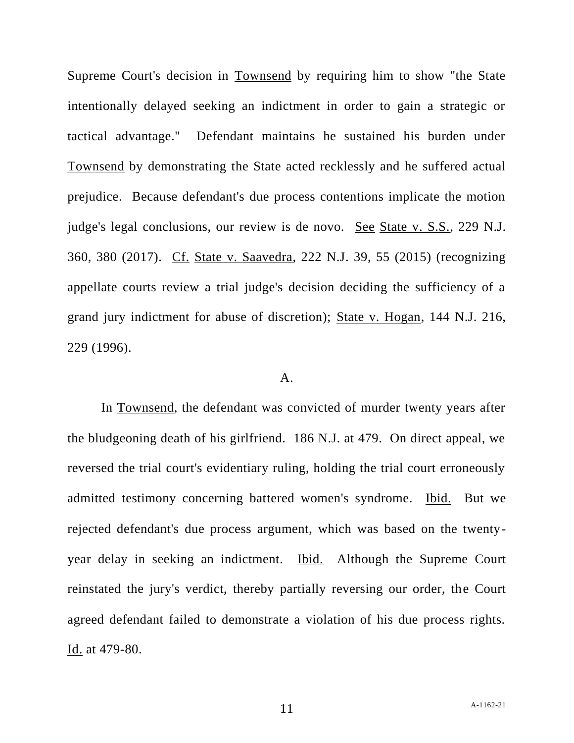Supreme Court's decision in Townsend by requiring him to show "the State intentionally delayed seeking an indictment in order to gain a strategic or tactical advantage." Defendant maintains he sustained his burden under Townsend by demonstrating the State acted recklessly and he suffered actual prejudice. Because defendant's due process contentions implicate the motion judge's legal conclusions, our review is de novo. See State v. S.S., 229 N.J. 360, 380 (2017). Cf. State v. Saavedra, 222 N.J. 39, 55 (2015) (recognizing appellate courts review a trial judge's decision deciding the sufficiency of a grand jury indictment for abuse of discretion); State v. Hogan, 144 N.J. 216, 229 (1996).

#### A.

In Townsend, the defendant was convicted of murder twenty years after the bludgeoning death of his girlfriend. 186 N.J. at 479. On direct appeal, we reversed the trial court's evidentiary ruling, holding the trial court erroneously admitted testimony concerning battered women's syndrome. Ibid. But we rejected defendant's due process argument, which was based on the twentyyear delay in seeking an indictment. Ibid. Although the Supreme Court reinstated the jury's verdict, thereby partially reversing our order, the Court agreed defendant failed to demonstrate a violation of his due process rights. Id. at 479-80.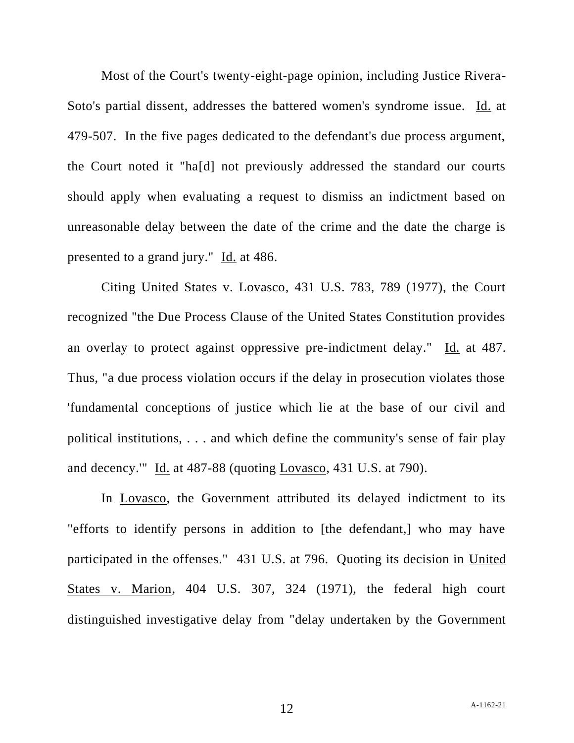Most of the Court's twenty-eight-page opinion, including Justice Rivera-Soto's partial dissent, addresses the battered women's syndrome issue. Id. at 479-507. In the five pages dedicated to the defendant's due process argument, the Court noted it "ha[d] not previously addressed the standard our courts should apply when evaluating a request to dismiss an indictment based on unreasonable delay between the date of the crime and the date the charge is presented to a grand jury." Id. at 486.

Citing United States v. Lovasco, 431 U.S. 783, 789 (1977), the Court recognized "the Due Process Clause of the United States Constitution provides an overlay to protect against oppressive pre-indictment delay." Id. at 487. Thus, "a due process violation occurs if the delay in prosecution violates those 'fundamental conceptions of justice which lie at the base of our civil and political institutions, . . . and which define the community's sense of fair play and decency.'" Id. at 487-88 (quoting Lovasco, 431 U.S. at 790).

In Lovasco, the Government attributed its delayed indictment to its "efforts to identify persons in addition to [the defendant,] who may have participated in the offenses." 431 U.S. at 796. Quoting its decision in United States v. Marion, 404 U.S. 307, 324 (1971), the federal high court distinguished investigative delay from "delay undertaken by the Government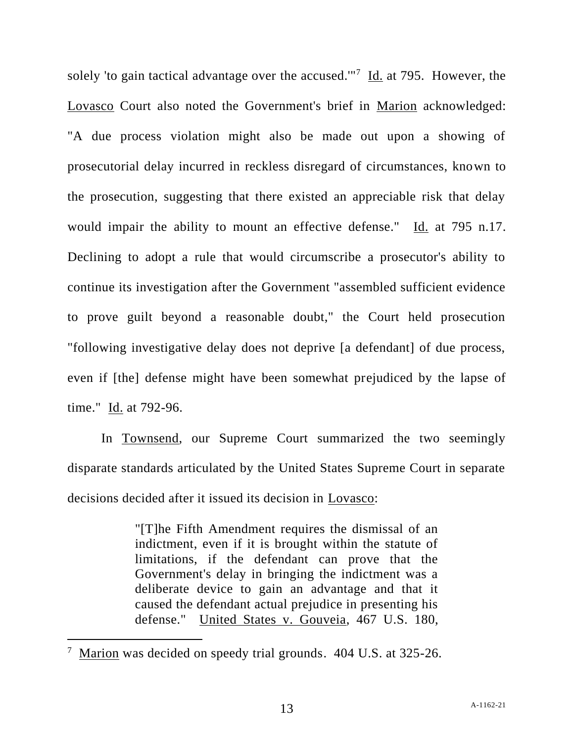solely 'to gain tactical advantage over the accused."<sup>7</sup> Id. at 795. However, the Lovasco Court also noted the Government's brief in Marion acknowledged: "A due process violation might also be made out upon a showing of prosecutorial delay incurred in reckless disregard of circumstances, known to the prosecution, suggesting that there existed an appreciable risk that delay would impair the ability to mount an effective defense." Id. at 795 n.17. Declining to adopt a rule that would circumscribe a prosecutor's ability to continue its investigation after the Government "assembled sufficient evidence to prove guilt beyond a reasonable doubt," the Court held prosecution "following investigative delay does not deprive [a defendant] of due process, even if [the] defense might have been somewhat prejudiced by the lapse of time." Id. at 792-96.

In Townsend, our Supreme Court summarized the two seemingly disparate standards articulated by the United States Supreme Court in separate decisions decided after it issued its decision in Lovasco:

> "[T]he Fifth Amendment requires the dismissal of an indictment, even if it is brought within the statute of limitations, if the defendant can prove that the Government's delay in bringing the indictment was a deliberate device to gain an advantage and that it caused the defendant actual prejudice in presenting his defense." United States v. Gouveia, 467 U.S. 180,

<sup>&</sup>lt;sup>7</sup> Marion was decided on speedy trial grounds. 404 U.S. at 325-26.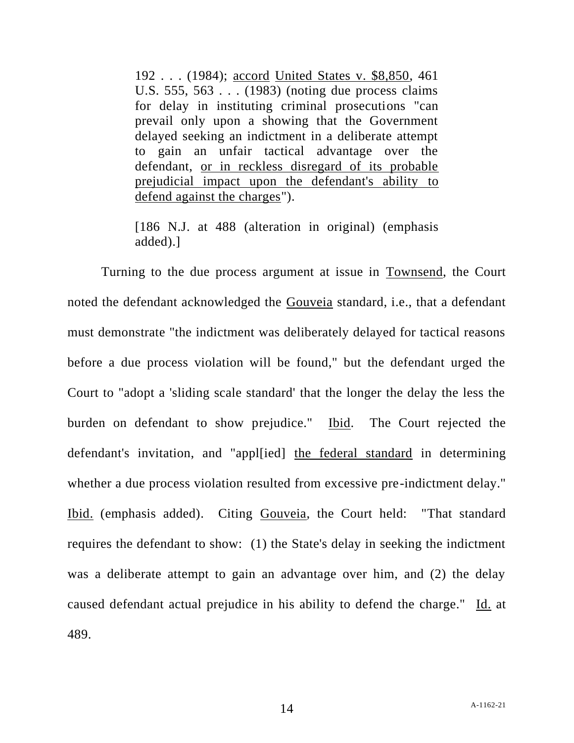192 . . . (1984); accord United States v. \$8,850, 461 U.S. 555, 563 . . . (1983) (noting due process claims for delay in instituting criminal prosecutions "can prevail only upon a showing that the Government delayed seeking an indictment in a deliberate attempt to gain an unfair tactical advantage over the defendant, or in reckless disregard of its probable prejudicial impact upon the defendant's ability to defend against the charges").

[186 N.J. at 488 (alteration in original) (emphasis added).]

Turning to the due process argument at issue in Townsend, the Court noted the defendant acknowledged the Gouveia standard, i.e., that a defendant must demonstrate "the indictment was deliberately delayed for tactical reasons before a due process violation will be found," but the defendant urged the Court to "adopt a 'sliding scale standard' that the longer the delay the less the burden on defendant to show prejudice." Ibid. The Court rejected the defendant's invitation, and "appl[ied] the federal standard in determining whether a due process violation resulted from excessive pre-indictment delay." Ibid. (emphasis added). Citing Gouveia, the Court held: "That standard requires the defendant to show: (1) the State's delay in seeking the indictment was a deliberate attempt to gain an advantage over him, and (2) the delay caused defendant actual prejudice in his ability to defend the charge." Id. at 489.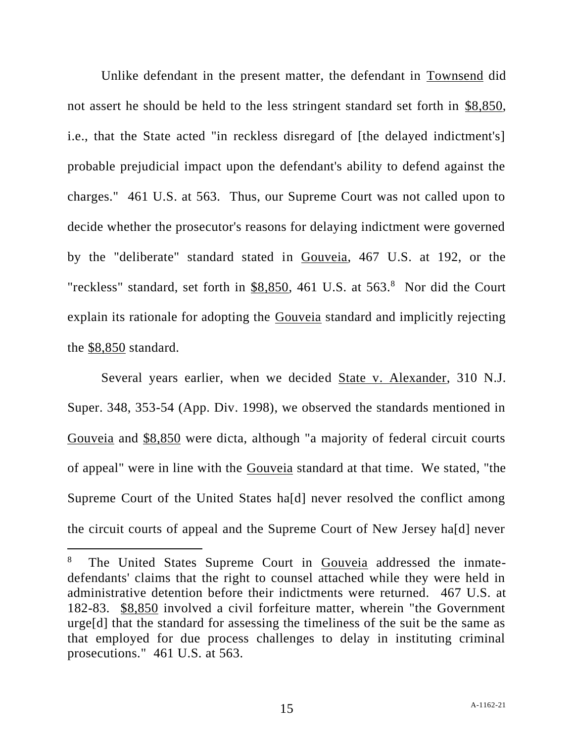Unlike defendant in the present matter, the defendant in Townsend did not assert he should be held to the less stringent standard set forth in \$8,850, i.e., that the State acted "in reckless disregard of [the delayed indictment's] probable prejudicial impact upon the defendant's ability to defend against the charges." 461 U.S. at 563. Thus, our Supreme Court was not called upon to decide whether the prosecutor's reasons for delaying indictment were governed by the "deliberate" standard stated in Gouveia, 467 U.S. at 192, or the "reckless" standard, set forth in \$8,850, 461 U.S. at 563.8 Nor did the Court explain its rationale for adopting the Gouveia standard and implicitly rejecting the \$8,850 standard.

Several years earlier, when we decided State v. Alexander, 310 N.J. Super. 348, 353-54 (App. Div. 1998), we observed the standards mentioned in Gouveia and \$8,850 were dicta, although "a majority of federal circuit courts of appeal" were in line with the Gouveia standard at that time. We stated, "the Supreme Court of the United States ha[d] never resolved the conflict among the circuit courts of appeal and the Supreme Court of New Jersey ha[d] never

<sup>8</sup> The United States Supreme Court in Gouveia addressed the inmatedefendants' claims that the right to counsel attached while they were held in administrative detention before their indictments were returned. 467 U.S. at 182-83. \$8,850 involved a civil forfeiture matter, wherein "the Government urge[d] that the standard for assessing the timeliness of the suit be the same as that employed for due process challenges to delay in instituting criminal prosecutions." 461 U.S. at 563.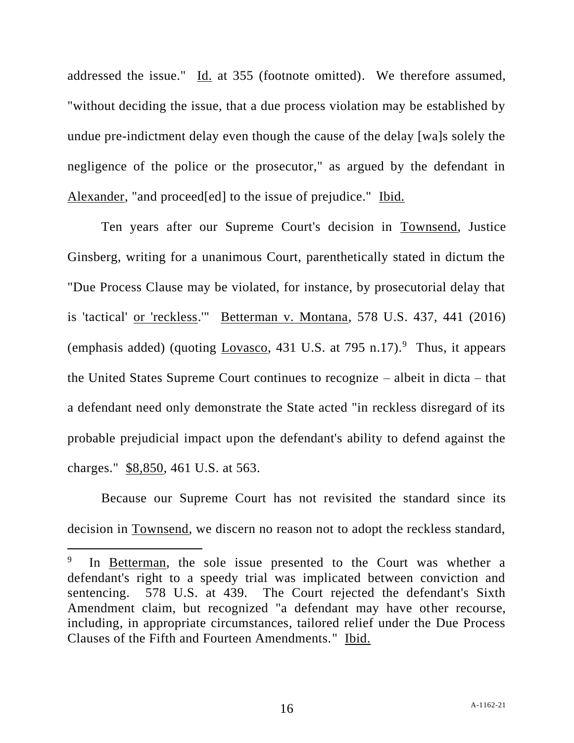addressed the issue." Id. at 355 (footnote omitted). We therefore assumed, "without deciding the issue, that a due process violation may be established by undue pre-indictment delay even though the cause of the delay [wa]s solely the negligence of the police or the prosecutor," as argued by the defendant in Alexander, "and proceed[ed] to the issue of prejudice." Ibid.

Ten years after our Supreme Court's decision in Townsend, Justice Ginsberg, writing for a unanimous Court, parenthetically stated in dictum the "Due Process Clause may be violated, for instance, by prosecutorial delay that is 'tactical' or 'reckless.'" Betterman v. Montana, 578 U.S. 437, 441 (2016) (emphasis added) (quoting  $Lovasco$ , 431 U.S. at 795 n.17).<sup>9</sup> Thus, it appears the United States Supreme Court continues to recognize – albeit in dicta – that a defendant need only demonstrate the State acted "in reckless disregard of its probable prejudicial impact upon the defendant's ability to defend against the charges." \$8,850, 461 U.S. at 563.

Because our Supreme Court has not revisited the standard since its decision in Townsend, we discern no reason not to adopt the reckless standard,

<sup>9</sup> In Betterman, the sole issue presented to the Court was whether a defendant's right to a speedy trial was implicated between conviction and sentencing. 578 U.S. at 439. The Court rejected the defendant's Sixth Amendment claim, but recognized "a defendant may have other recourse, including, in appropriate circumstances, tailored relief under the Due Process Clauses of the Fifth and Fourteen Amendments." Ibid.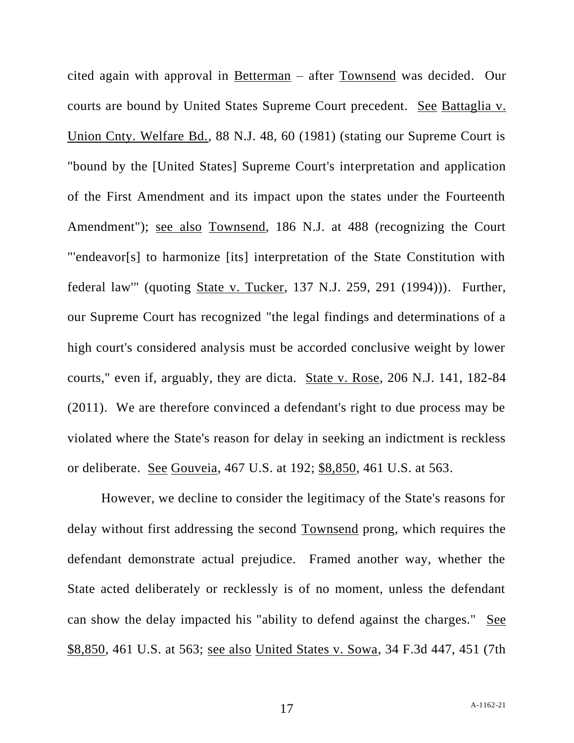cited again with approval in Betterman – after Townsend was decided. Our courts are bound by United States Supreme Court precedent. See Battaglia v. Union Cnty. Welfare Bd., 88 N.J. 48, 60 (1981) (stating our Supreme Court is "bound by the [United States] Supreme Court's interpretation and application of the First Amendment and its impact upon the states under the Fourteenth Amendment"); see also Townsend, 186 N.J. at 488 (recognizing the Court "'endeavor[s] to harmonize [its] interpretation of the State Constitution with federal law'" (quoting State v. Tucker, 137 N.J. 259, 291 (1994))). Further, our Supreme Court has recognized "the legal findings and determinations of a high court's considered analysis must be accorded conclusive weight by lower courts," even if, arguably, they are dicta. State v. Rose, 206 N.J. 141, 182-84 (2011). We are therefore convinced a defendant's right to due process may be violated where the State's reason for delay in seeking an indictment is reckless or deliberate. See Gouveia, 467 U.S. at 192; \$8,850, 461 U.S. at 563.

However, we decline to consider the legitimacy of the State's reasons for delay without first addressing the second Townsend prong, which requires the defendant demonstrate actual prejudice. Framed another way, whether the State acted deliberately or recklessly is of no moment, unless the defendant can show the delay impacted his "ability to defend against the charges." See \$8,850, 461 U.S. at 563; see also United States v. Sowa, 34 F.3d 447, 451 (7th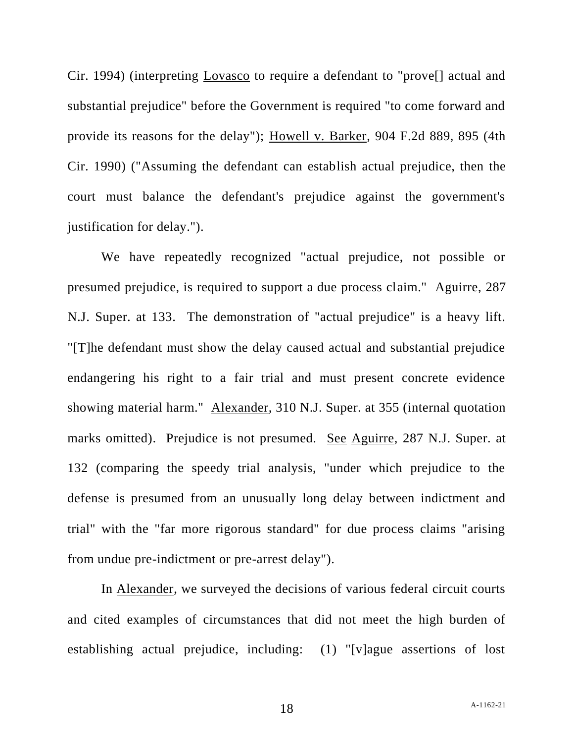Cir. 1994) (interpreting Lovasco to require a defendant to "prove[] actual and substantial prejudice" before the Government is required "to come forward and provide its reasons for the delay"); Howell v. Barker, 904 F.2d 889, 895 (4th Cir. 1990) ("Assuming the defendant can establish actual prejudice, then the court must balance the defendant's prejudice against the government's justification for delay.").

We have repeatedly recognized "actual prejudice, not possible or presumed prejudice, is required to support a due process claim." Aguirre, 287 N.J. Super. at 133. The demonstration of "actual prejudice" is a heavy lift. "[T]he defendant must show the delay caused actual and substantial prejudice endangering his right to a fair trial and must present concrete evidence showing material harm." Alexander, 310 N.J. Super. at 355 (internal quotation marks omitted). Prejudice is not presumed. See Aguirre, 287 N.J. Super. at 132 (comparing the speedy trial analysis, "under which prejudice to the defense is presumed from an unusually long delay between indictment and trial" with the "far more rigorous standard" for due process claims "arising from undue pre-indictment or pre-arrest delay").

In Alexander, we surveyed the decisions of various federal circuit courts and cited examples of circumstances that did not meet the high burden of establishing actual prejudice, including: (1) "[v]ague assertions of lost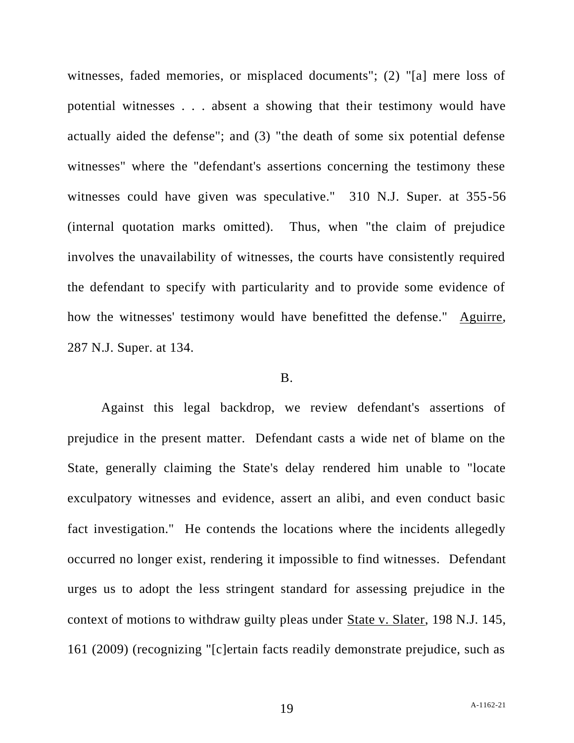witnesses, faded memories, or misplaced documents"; (2) "[a] mere loss of potential witnesses . . . absent a showing that their testimony would have actually aided the defense"; and (3) "the death of some six potential defense witnesses" where the "defendant's assertions concerning the testimony these witnesses could have given was speculative." 310 N.J. Super. at 355-56 (internal quotation marks omitted). Thus, when "the claim of prejudice involves the unavailability of witnesses, the courts have consistently required the defendant to specify with particularity and to provide some evidence of how the witnesses' testimony would have benefitted the defense." Aguirre, 287 N.J. Super. at 134.

#### B.

Against this legal backdrop, we review defendant's assertions of prejudice in the present matter. Defendant casts a wide net of blame on the State, generally claiming the State's delay rendered him unable to "locate exculpatory witnesses and evidence, assert an alibi, and even conduct basic fact investigation." He contends the locations where the incidents allegedly occurred no longer exist, rendering it impossible to find witnesses. Defendant urges us to adopt the less stringent standard for assessing prejudice in the context of motions to withdraw guilty pleas under State v. Slater, 198 N.J. 145, 161 (2009) (recognizing "[c]ertain facts readily demonstrate prejudice, such as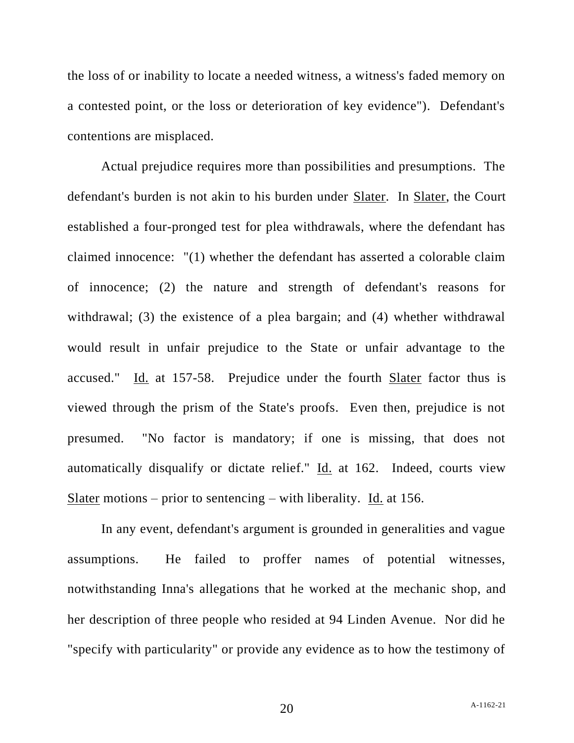the loss of or inability to locate a needed witness, a witness's faded memory on a contested point, or the loss or deterioration of key evidence"). Defendant's contentions are misplaced.

Actual prejudice requires more than possibilities and presumptions. The defendant's burden is not akin to his burden under Slater. In Slater, the Court established a four-pronged test for plea withdrawals, where the defendant has claimed innocence: "(1) whether the defendant has asserted a colorable claim of innocence; (2) the nature and strength of defendant's reasons for withdrawal; (3) the existence of a plea bargain; and (4) whether withdrawal would result in unfair prejudice to the State or unfair advantage to the accused." Id. at 157-58. Prejudice under the fourth Slater factor thus is viewed through the prism of the State's proofs. Even then, prejudice is not presumed. "No factor is mandatory; if one is missing, that does not automatically disqualify or dictate relief." Id. at 162. Indeed, courts view Slater motions – prior to sentencing – with liberality. Id. at 156.

In any event, defendant's argument is grounded in generalities and vague assumptions. He failed to proffer names of potential witnesses, notwithstanding Inna's allegations that he worked at the mechanic shop, and her description of three people who resided at 94 Linden Avenue. Nor did he "specify with particularity" or provide any evidence as to how the testimony of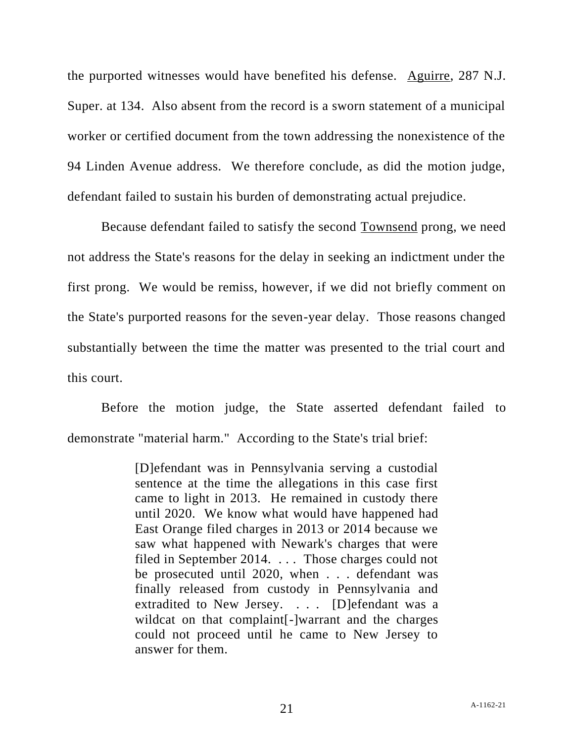the purported witnesses would have benefited his defense. Aguirre, 287 N.J. Super. at 134. Also absent from the record is a sworn statement of a municipal worker or certified document from the town addressing the nonexistence of the 94 Linden Avenue address. We therefore conclude, as did the motion judge, defendant failed to sustain his burden of demonstrating actual prejudice.

Because defendant failed to satisfy the second Townsend prong, we need not address the State's reasons for the delay in seeking an indictment under the first prong. We would be remiss, however, if we did not briefly comment on the State's purported reasons for the seven-year delay. Those reasons changed substantially between the time the matter was presented to the trial court and this court.

Before the motion judge, the State asserted defendant failed to demonstrate "material harm." According to the State's trial brief:

> [D]efendant was in Pennsylvania serving a custodial sentence at the time the allegations in this case first came to light in 2013. He remained in custody there until 2020. We know what would have happened had East Orange filed charges in 2013 or 2014 because we saw what happened with Newark's charges that were filed in September 2014. . . . Those charges could not be prosecuted until 2020, when . . . defendant was finally released from custody in Pennsylvania and extradited to New Jersey. . . . [D]efendant was a wildcat on that complaint[-]warrant and the charges could not proceed until he came to New Jersey to answer for them.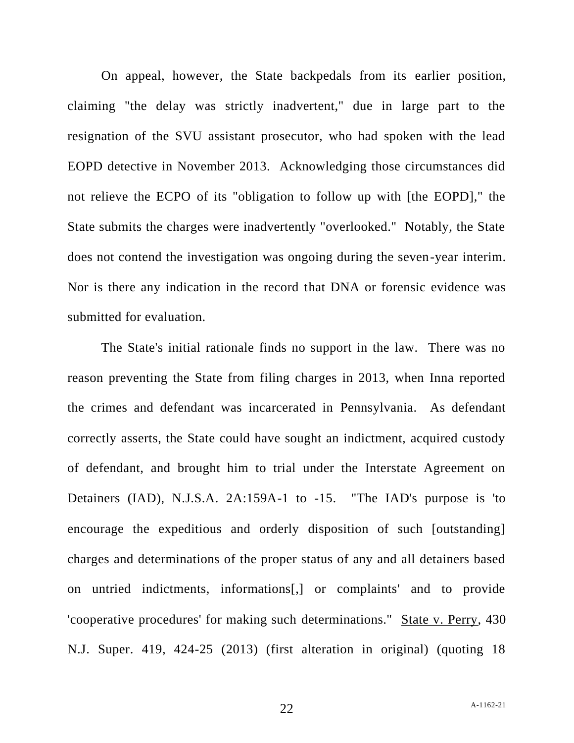On appeal, however, the State backpedals from its earlier position, claiming "the delay was strictly inadvertent," due in large part to the resignation of the SVU assistant prosecutor, who had spoken with the lead EOPD detective in November 2013. Acknowledging those circumstances did not relieve the ECPO of its "obligation to follow up with [the EOPD]," the State submits the charges were inadvertently "overlooked." Notably, the State does not contend the investigation was ongoing during the seven-year interim. Nor is there any indication in the record that DNA or forensic evidence was submitted for evaluation.

The State's initial rationale finds no support in the law. There was no reason preventing the State from filing charges in 2013, when Inna reported the crimes and defendant was incarcerated in Pennsylvania. As defendant correctly asserts, the State could have sought an indictment, acquired custody of defendant, and brought him to trial under the Interstate Agreement on Detainers (IAD), N.J.S.A. 2A:159A-1 to -15. "The IAD's purpose is 'to encourage the expeditious and orderly disposition of such [outstanding] charges and determinations of the proper status of any and all detainers based on untried indictments, informations[,] or complaints' and to provide 'cooperative procedures' for making such determinations." State v. Perry, 430 N.J. Super. 419, 424-25 (2013) (first alteration in original) (quoting 18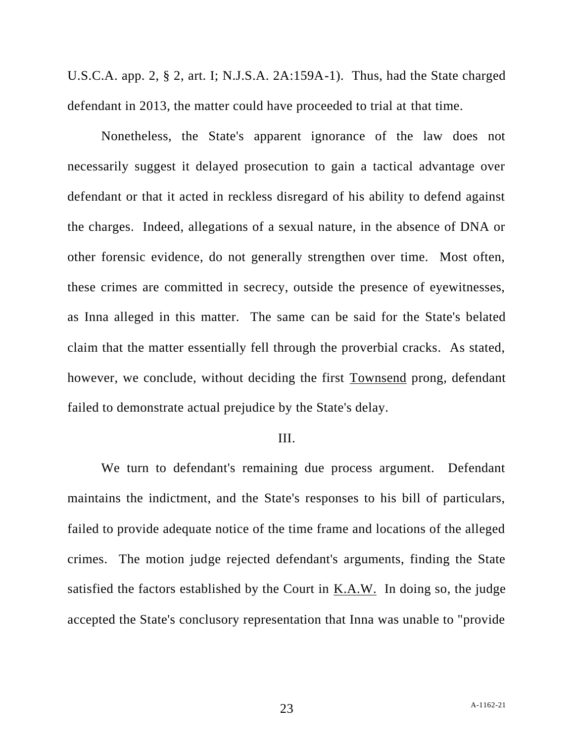U.S.C.A. app. 2, § 2, art. I; N.J.S.A. 2A:159A-1). Thus, had the State charged defendant in 2013, the matter could have proceeded to trial at that time.

Nonetheless, the State's apparent ignorance of the law does not necessarily suggest it delayed prosecution to gain a tactical advantage over defendant or that it acted in reckless disregard of his ability to defend against the charges. Indeed, allegations of a sexual nature, in the absence of DNA or other forensic evidence, do not generally strengthen over time. Most often, these crimes are committed in secrecy, outside the presence of eyewitnesses, as Inna alleged in this matter. The same can be said for the State's belated claim that the matter essentially fell through the proverbial cracks. As stated, however, we conclude, without deciding the first Townsend prong, defendant failed to demonstrate actual prejudice by the State's delay.

#### III.

We turn to defendant's remaining due process argument. Defendant maintains the indictment, and the State's responses to his bill of particulars, failed to provide adequate notice of the time frame and locations of the alleged crimes. The motion judge rejected defendant's arguments, finding the State satisfied the factors established by the Court in K.A.W. In doing so, the judge accepted the State's conclusory representation that Inna was unable to "provide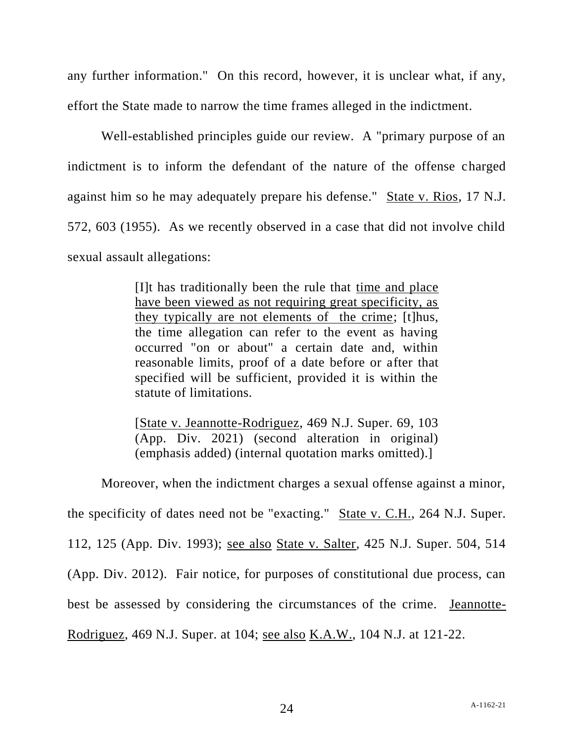any further information." On this record, however, it is unclear what, if any, effort the State made to narrow the time frames alleged in the indictment.

Well-established principles guide our review. A "primary purpose of an indictment is to inform the defendant of the nature of the offense charged against him so he may adequately prepare his defense." State v. Rios, 17 N.J. 572, 603 (1955). As we recently observed in a case that did not involve child sexual assault allegations:

> [I]t has traditionally been the rule that time and place have been viewed as not requiring great specificity, as they typically are not elements of the crime; [t]hus, the time allegation can refer to the event as having occurred "on or about" a certain date and, within reasonable limits, proof of a date before or after that specified will be sufficient, provided it is within the statute of limitations.

> [State v. Jeannotte-Rodriguez, 469 N.J. Super. 69, 103 (App. Div. 2021) (second alteration in original) (emphasis added) (internal quotation marks omitted).]

Moreover, when the indictment charges a sexual offense against a minor,

the specificity of dates need not be "exacting." State v. C.H., 264 N.J. Super.

112, 125 (App. Div. 1993); see also State v. Salter, 425 N.J. Super. 504, 514

(App. Div. 2012). Fair notice, for purposes of constitutional due process, can

best be assessed by considering the circumstances of the crime. Jeannotte-

Rodriguez, 469 N.J. Super. at 104; see also K.A.W., 104 N.J. at 121-22.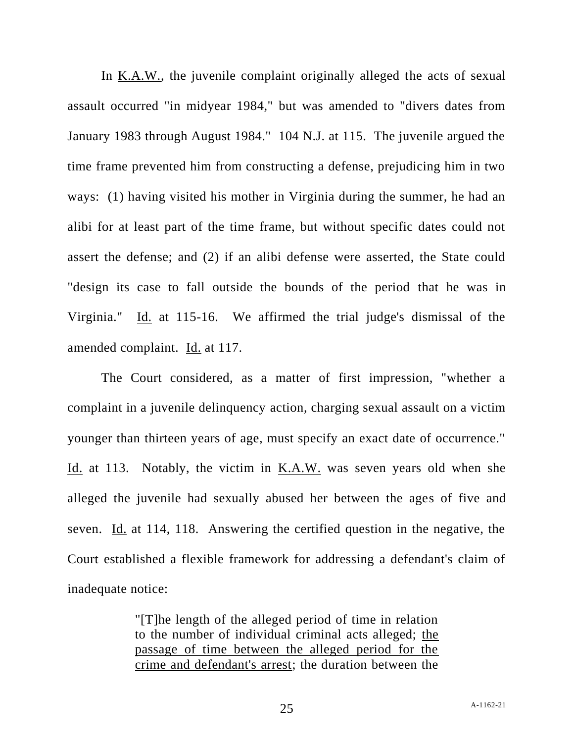In K.A.W., the juvenile complaint originally alleged the acts of sexual assault occurred "in midyear 1984," but was amended to "divers dates from January 1983 through August 1984." 104 N.J. at 115. The juvenile argued the time frame prevented him from constructing a defense, prejudicing him in two ways: (1) having visited his mother in Virginia during the summer, he had an alibi for at least part of the time frame, but without specific dates could not assert the defense; and (2) if an alibi defense were asserted, the State could "design its case to fall outside the bounds of the period that he was in Virginia." Id. at 115-16. We affirmed the trial judge's dismissal of the amended complaint. Id. at 117.

The Court considered, as a matter of first impression, "whether a complaint in a juvenile delinquency action, charging sexual assault on a victim younger than thirteen years of age, must specify an exact date of occurrence." Id. at 113. Notably, the victim in <u>K.A.W.</u> was seven years old when she alleged the juvenile had sexually abused her between the ages of five and seven. Id. at 114, 118. Answering the certified question in the negative, the Court established a flexible framework for addressing a defendant's claim of inadequate notice:

> "[T]he length of the alleged period of time in relation to the number of individual criminal acts alleged; the passage of time between the alleged period for the crime and defendant's arrest; the duration between the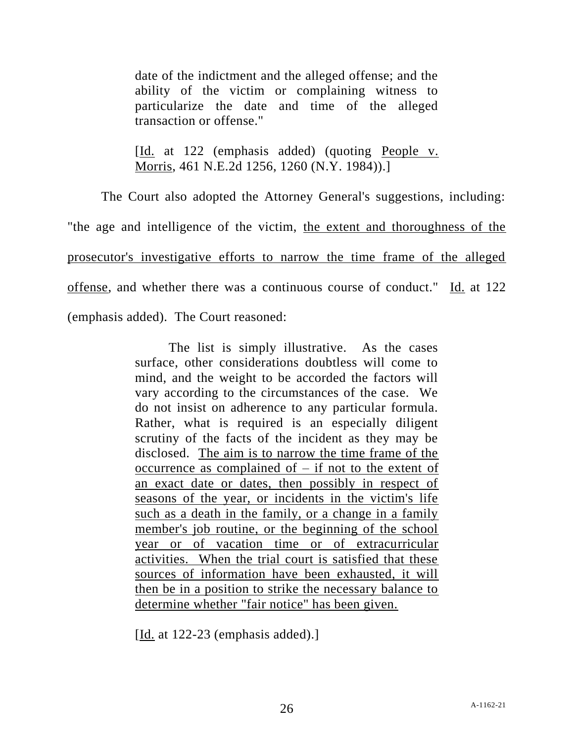date of the indictment and the alleged offense; and the ability of the victim or complaining witness to particularize the date and time of the alleged transaction or offense."

[Id. at 122 (emphasis added) (quoting People v. Morris, 461 N.E.2d 1256, 1260 (N.Y. 1984)).]

The Court also adopted the Attorney General's suggestions, including: "the age and intelligence of the victim, the extent and thoroughness of the prosecutor's investigative efforts to narrow the time frame of the alleged offense, and whether there was a continuous course of conduct." Id. at 122 (emphasis added). The Court reasoned:

> The list is simply illustrative. As the cases surface, other considerations doubtless will come to mind, and the weight to be accorded the factors will vary according to the circumstances of the case. We do not insist on adherence to any particular formula. Rather, what is required is an especially diligent scrutiny of the facts of the incident as they may be disclosed. The aim is to narrow the time frame of the occurrence as complained of  $-$  if not to the extent of an exact date or dates, then possibly in respect of seasons of the year, or incidents in the victim's life such as a death in the family, or a change in a family member's job routine, or the beginning of the school year or of vacation time or of extracurricular activities. When the trial court is satisfied that these sources of information have been exhausted, it will then be in a position to strike the necessary balance to determine whether "fair notice" has been given.

[Id. at 122-23 (emphasis added).]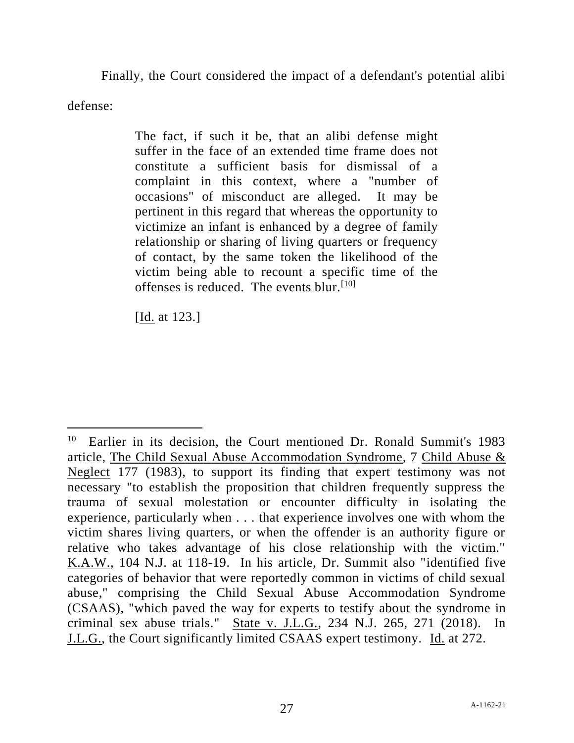Finally, the Court considered the impact of a defendant's potential alibi

defense:

The fact, if such it be, that an alibi defense might suffer in the face of an extended time frame does not constitute a sufficient basis for dismissal of a complaint in this context, where a "number of occasions" of misconduct are alleged. It may be pertinent in this regard that whereas the opportunity to victimize an infant is enhanced by a degree of family relationship or sharing of living quarters or frequency of contact, by the same token the likelihood of the victim being able to recount a specific time of the offenses is reduced. The events blur.<sup>[10]</sup>

[Id. at 123.]

<sup>10</sup> Earlier in its decision, the Court mentioned Dr. Ronald Summit's 1983 article, The Child Sexual Abuse Accommodation Syndrome, 7 Child Abuse & Neglect 177 (1983), to support its finding that expert testimony was not necessary "to establish the proposition that children frequently suppress the trauma of sexual molestation or encounter difficulty in isolating the experience, particularly when . . . that experience involves one with whom the victim shares living quarters, or when the offender is an authority figure or relative who takes advantage of his close relationship with the victim." K.A.W., 104 N.J. at 118-19. In his article, Dr. Summit also "identified five categories of behavior that were reportedly common in victims of child sexual abuse," comprising the Child Sexual Abuse Accommodation Syndrome (CSAAS), "which paved the way for experts to testify about the syndrome in criminal sex abuse trials." State v. J.L.G., 234 N.J. 265, 271 (2018). In J.L.G., the Court significantly limited CSAAS expert testimony. Id. at 272.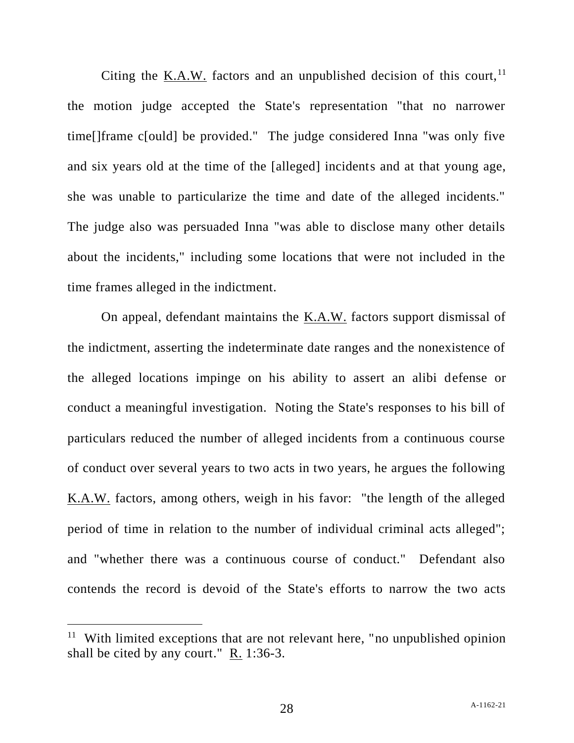Citing the K.A.W. factors and an unpublished decision of this court,  $11$ the motion judge accepted the State's representation "that no narrower time[]frame c[ould] be provided." The judge considered Inna "was only five and six years old at the time of the [alleged] incidents and at that young age, she was unable to particularize the time and date of the alleged incidents." The judge also was persuaded Inna "was able to disclose many other details about the incidents," including some locations that were not included in the time frames alleged in the indictment.

On appeal, defendant maintains the K.A.W. factors support dismissal of the indictment, asserting the indeterminate date ranges and the nonexistence of the alleged locations impinge on his ability to assert an alibi defense or conduct a meaningful investigation. Noting the State's responses to his bill of particulars reduced the number of alleged incidents from a continuous course of conduct over several years to two acts in two years, he argues the following K.A.W. factors, among others, weigh in his favor: "the length of the alleged period of time in relation to the number of individual criminal acts alleged"; and "whether there was a continuous course of conduct." Defendant also contends the record is devoid of the State's efforts to narrow the two acts

<sup>&</sup>lt;sup>11</sup> With limited exceptions that are not relevant here, "no unpublished opinion shall be cited by any court."  $R. 1:36-3$ .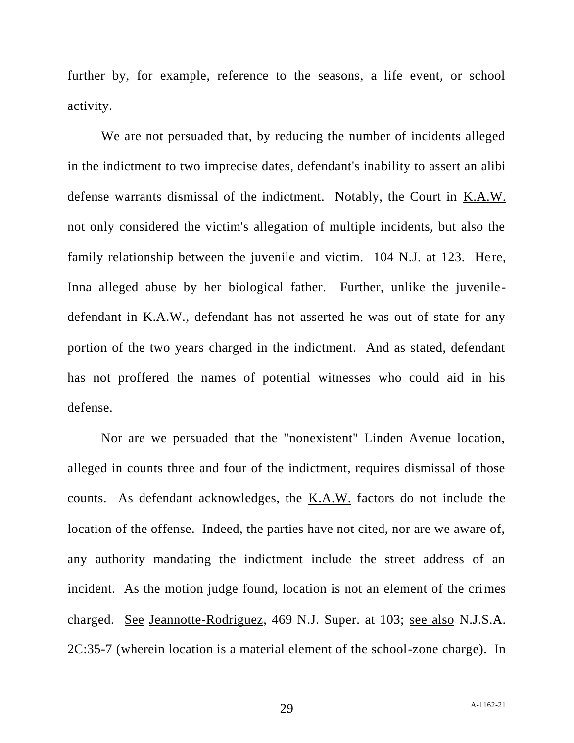further by, for example, reference to the seasons, a life event, or school activity.

We are not persuaded that, by reducing the number of incidents alleged in the indictment to two imprecise dates, defendant's inability to assert an alibi defense warrants dismissal of the indictment. Notably, the Court in K.A.W. not only considered the victim's allegation of multiple incidents, but also the family relationship between the juvenile and victim. 104 N.J. at 123. Here, Inna alleged abuse by her biological father. Further, unlike the juveniledefendant in K.A.W., defendant has not asserted he was out of state for any portion of the two years charged in the indictment. And as stated, defendant has not proffered the names of potential witnesses who could aid in his defense.

Nor are we persuaded that the "nonexistent" Linden Avenue location, alleged in counts three and four of the indictment, requires dismissal of those counts. As defendant acknowledges, the K.A.W. factors do not include the location of the offense. Indeed, the parties have not cited, nor are we aware of, any authority mandating the indictment include the street address of an incident. As the motion judge found, location is not an element of the crimes charged. See Jeannotte-Rodriguez, 469 N.J. Super. at 103; see also N.J.S.A. 2C:35-7 (wherein location is a material element of the school-zone charge). In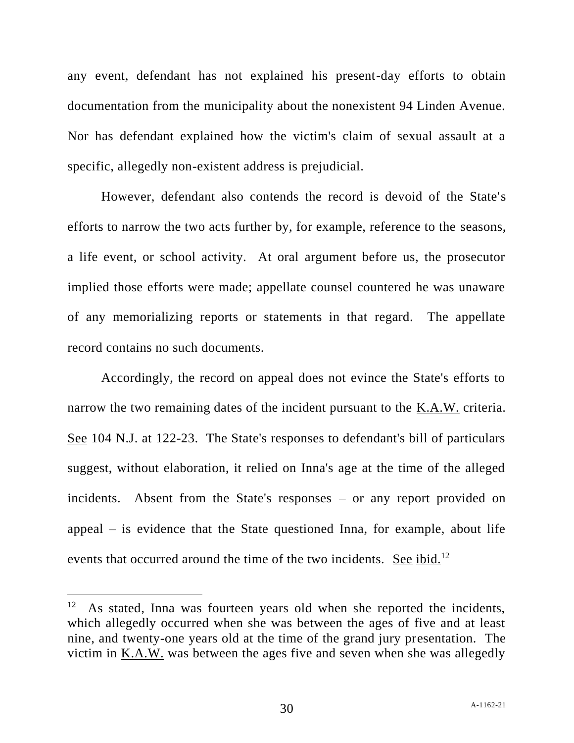any event, defendant has not explained his present-day efforts to obtain documentation from the municipality about the nonexistent 94 Linden Avenue. Nor has defendant explained how the victim's claim of sexual assault at a specific, allegedly non-existent address is prejudicial.

However, defendant also contends the record is devoid of the State's efforts to narrow the two acts further by, for example, reference to the seasons, a life event, or school activity. At oral argument before us, the prosecutor implied those efforts were made; appellate counsel countered he was unaware of any memorializing reports or statements in that regard. The appellate record contains no such documents.

Accordingly, the record on appeal does not evince the State's efforts to narrow the two remaining dates of the incident pursuant to the K.A.W. criteria. See 104 N.J. at 122-23. The State's responses to defendant's bill of particulars suggest, without elaboration, it relied on Inna's age at the time of the alleged incidents. Absent from the State's responses – or any report provided on appeal – is evidence that the State questioned Inna, for example, about life events that occurred around the time of the two incidents. See ibid.<sup>12</sup>

<sup>12</sup> As stated, Inna was fourteen years old when she reported the incidents, which allegedly occurred when she was between the ages of five and at least nine, and twenty-one years old at the time of the grand jury presentation. The victim in  $K.A.W.$  was between the ages five and seven when she was allegedly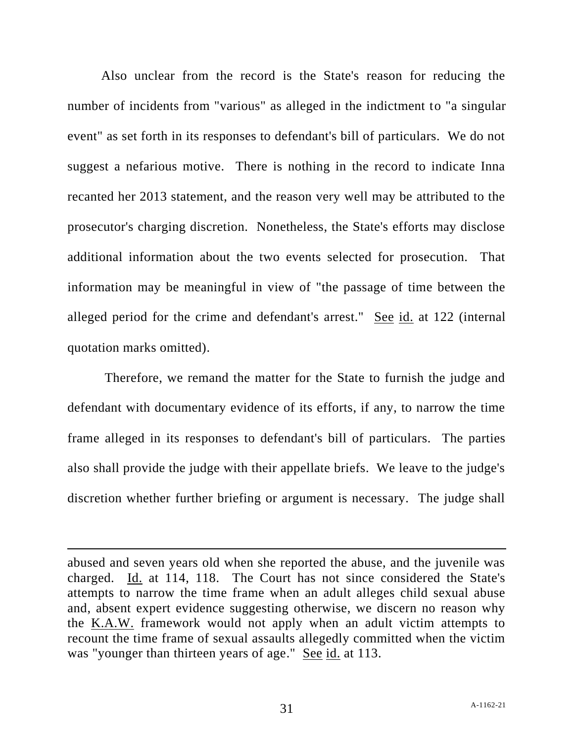Also unclear from the record is the State's reason for reducing the number of incidents from "various" as alleged in the indictment to "a singular event" as set forth in its responses to defendant's bill of particulars. We do not suggest a nefarious motive. There is nothing in the record to indicate Inna recanted her 2013 statement, and the reason very well may be attributed to the prosecutor's charging discretion. Nonetheless, the State's efforts may disclose additional information about the two events selected for prosecution. That information may be meaningful in view of "the passage of time between the alleged period for the crime and defendant's arrest." See id. at 122 (internal quotation marks omitted).

Therefore, we remand the matter for the State to furnish the judge and defendant with documentary evidence of its efforts, if any, to narrow the time frame alleged in its responses to defendant's bill of particulars. The parties also shall provide the judge with their appellate briefs. We leave to the judge's discretion whether further briefing or argument is necessary. The judge shall

abused and seven years old when she reported the abuse, and the juvenile was charged. Id. at 114, 118. The Court has not since considered the State's attempts to narrow the time frame when an adult alleges child sexual abuse and, absent expert evidence suggesting otherwise, we discern no reason why the K.A.W. framework would not apply when an adult victim attempts to recount the time frame of sexual assaults allegedly committed when the victim was "younger than thirteen years of age." See id. at 113.